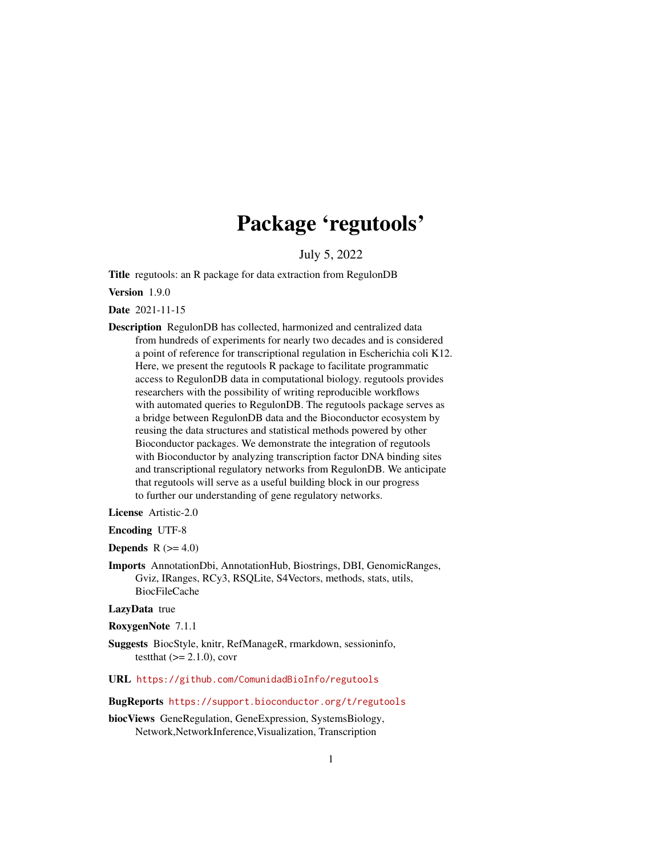# Package 'regutools'

July 5, 2022

<span id="page-0-0"></span>Title regutools: an R package for data extraction from RegulonDB

Version 1.9.0

Date 2021-11-15

Description RegulonDB has collected, harmonized and centralized data from hundreds of experiments for nearly two decades and is considered a point of reference for transcriptional regulation in Escherichia coli K12. Here, we present the regutools R package to facilitate programmatic access to RegulonDB data in computational biology. regutools provides researchers with the possibility of writing reproducible workflows with automated queries to RegulonDB. The regutools package serves as a bridge between RegulonDB data and the Bioconductor ecosystem by reusing the data structures and statistical methods powered by other Bioconductor packages. We demonstrate the integration of regutools with Bioconductor by analyzing transcription factor DNA binding sites and transcriptional regulatory networks from RegulonDB. We anticipate that regutools will serve as a useful building block in our progress to further our understanding of gene regulatory networks.

License Artistic-2.0

Encoding UTF-8

**Depends**  $R$  ( $>= 4.0$ )

Imports AnnotationDbi, AnnotationHub, Biostrings, DBI, GenomicRanges, Gviz, IRanges, RCy3, RSQLite, S4Vectors, methods, stats, utils, BiocFileCache

LazyData true

RoxygenNote 7.1.1

- Suggests BiocStyle, knitr, RefManageR, rmarkdown, sessioninfo, testthat  $(>= 2.1.0)$ , covr
- URL <https://github.com/ComunidadBioInfo/regutools>

#### BugReports <https://support.bioconductor.org/t/regutools>

biocViews GeneRegulation, GeneExpression, SystemsBiology, Network,NetworkInference,Visualization, Transcription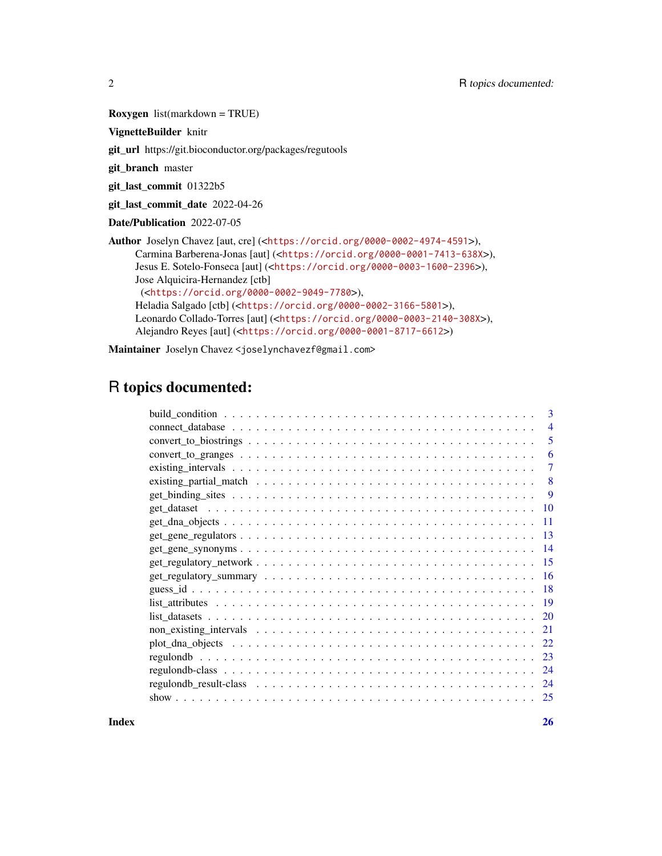Roxygen list(markdown = TRUE)

VignetteBuilder knitr

git\_url https://git.bioconductor.org/packages/regutools

git\_branch master

git\_last\_commit 01322b5

git\_last\_commit\_date 2022-04-26

Date/Publication 2022-07-05

Author Joselyn Chavez [aut, cre] (<<https://orcid.org/0000-0002-4974-4591>>), Carmina Barberena-Jonas [aut] (<<https://orcid.org/0000-0001-7413-638X>>), Jesus E. Sotelo-Fonseca [aut] (<<https://orcid.org/0000-0003-1600-2396>>), Jose Alquicira-Hernandez [ctb] (<<https://orcid.org/0000-0002-9049-7780>>), Heladia Salgado [ctb] (<<https://orcid.org/0000-0002-3166-5801>>), Leonardo Collado-Torres [aut] (<<https://orcid.org/0000-0003-2140-308X>>), Alejandro Reyes [aut] (<<https://orcid.org/0000-0001-8717-6612>>)

Maintainer Joselyn Chavez <joselynchavezf@gmail.com>

# R topics documented:

| $\mathbf{B}$   |
|----------------|
| $\overline{4}$ |
| 5              |
| 6              |
| 7              |
| 8              |
| 9              |
| 10             |
| 11             |
| -13            |
| - 14           |
| -15            |
|                |
|                |
| -19            |
|                |
| 21             |
| 22             |
| 23             |
| -24            |
| 24             |
| 25             |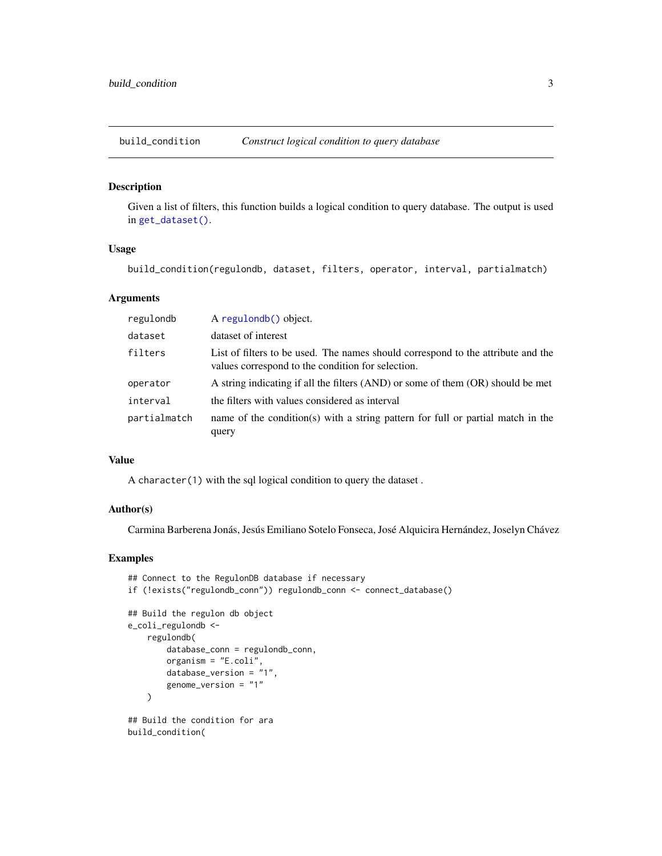<span id="page-2-1"></span><span id="page-2-0"></span>build\_condition *Construct logical condition to query database*

#### Description

Given a list of filters, this function builds a logical condition to query database. The output is used in [get\\_dataset\(\)](#page-9-1).

# Usage

build\_condition(regulondb, dataset, filters, operator, interval, partialmatch)

# Arguments

| regulondb    | A regulondb() object.                                                                                                                 |
|--------------|---------------------------------------------------------------------------------------------------------------------------------------|
| dataset      | dataset of interest                                                                                                                   |
| filters      | List of filters to be used. The names should correspond to the attribute and the<br>values correspond to the condition for selection. |
| operator     | A string indicating if all the filters (AND) or some of them (OR) should be met                                                       |
| interval     | the filters with values considered as interval                                                                                        |
| partialmatch | name of the condition(s) with a string pattern for full or partial match in the<br>query                                              |

#### Value

A character(1) with the sql logical condition to query the dataset .

#### Author(s)

Carmina Barberena Jonás, Jesús Emiliano Sotelo Fonseca, José Alquicira Hernández, Joselyn Chávez

```
## Connect to the RegulonDB database if necessary
if (!exists("regulondb_conn")) regulondb_conn <- connect_database()
## Build the regulon db object
e_coli_regulondb <-
   regulondb(
       database_conn = regulondb_conn,
       organism = "E.coli",
        database_version = "1",
        genome_version = "1"
   \lambda## Build the condition for ara
build_condition(
```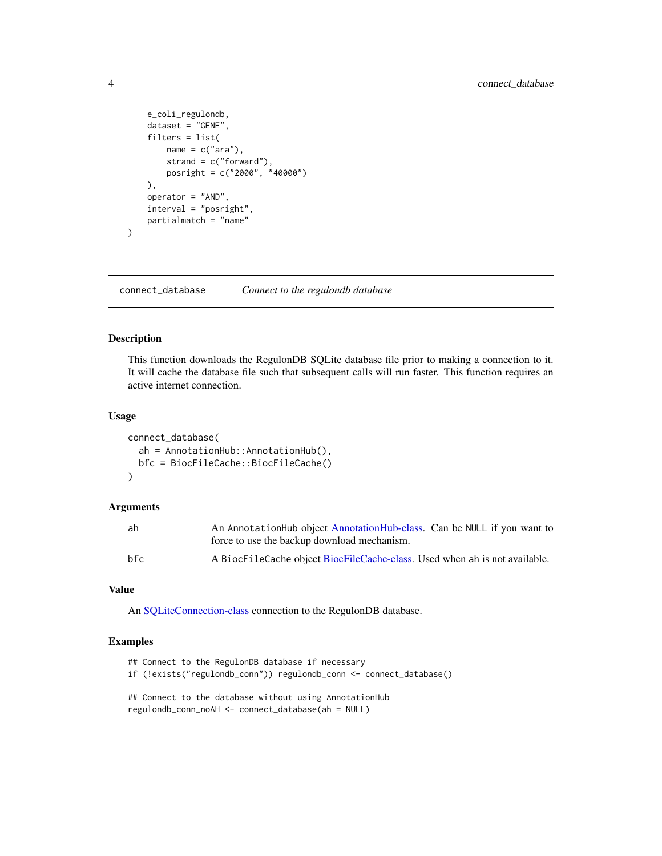```
e_coli_regulondb,
   dataset = "GENE",
    filters = list(
       name = c("ara"),
       strand = c("forward"),
        posright = c("2000", "40000")
   ),
   operator = "AND",
    interval = "posright",
   partialmatch = "name"
)
```
<span id="page-3-1"></span>connect\_database *Connect to the regulondb database*

# Description

This function downloads the RegulonDB SQLite database file prior to making a connection to it. It will cache the database file such that subsequent calls will run faster. This function requires an active internet connection.

#### Usage

```
connect_database(
  ah = AnnotationHub::AnnotationHub(),
  bfc = BiocFileCache::BiocFileCache()
\mathcal{L}
```
#### Arguments

| ah   | An AnnotationHub object AnnotationHub-class. Can be NULL if you want to    |
|------|----------------------------------------------------------------------------|
|      | force to use the backup download mechanism.                                |
| hf c | A BiocFileCache object BiocFileCache-class. Used when ah is not available. |

#### Value

An [SQLiteConnection-class](#page-0-0) connection to the RegulonDB database.

```
## Connect to the RegulonDB database if necessary
```

```
if (!exists("regulondb_conn")) regulondb_conn <- connect_database()
```

```
## Connect to the database without using AnnotationHub
regulondb_conn_noAH <- connect_database(ah = NULL)
```
<span id="page-3-0"></span>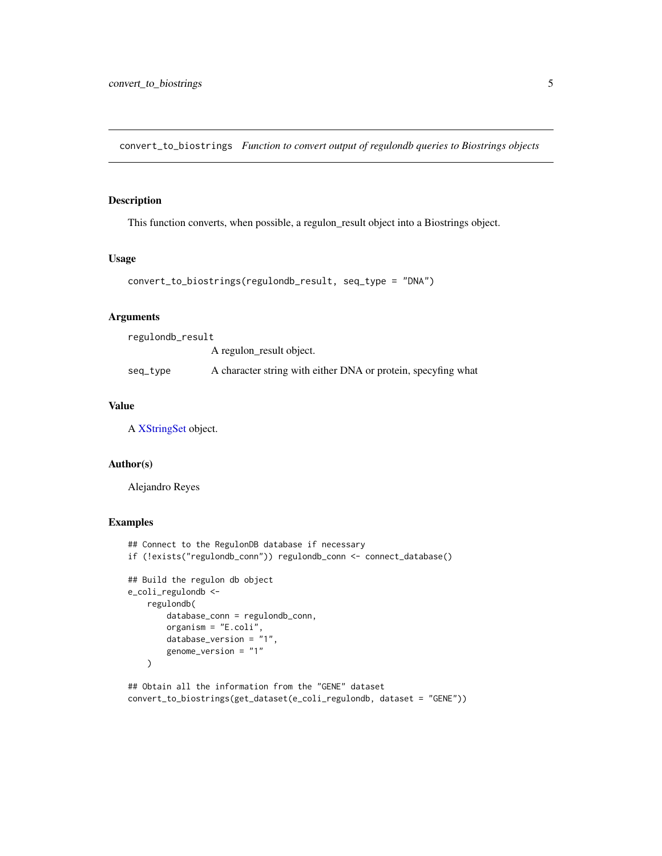<span id="page-4-0"></span>convert\_to\_biostrings *Function to convert output of regulondb queries to Biostrings objects*

# Description

This function converts, when possible, a regulon\_result object into a Biostrings object.

# Usage

```
convert_to_biostrings(regulondb_result, seq_type = "DNA")
```
#### Arguments

| regulondb_result |                                                               |
|------------------|---------------------------------------------------------------|
|                  | A regulon result object.                                      |
| seq_tvpe         | A character string with either DNA or protein, specyfing what |

# Value

A [XStringSet](#page-0-0) object.

#### Author(s)

Alejandro Reyes

```
## Connect to the RegulonDB database if necessary
if (!exists("regulondb_conn")) regulondb_conn <- connect_database()
## Build the regulon db object
e_coli_regulondb <-
    regulondb(
        database_conn = regulondb_conn,
        organism = "E.coli",
        database_version = "1",
        genome_version = "1"
    \mathcal{L}
```

```
## Obtain all the information from the "GENE" dataset
convert_to_biostrings(get_dataset(e_coli_regulondb, dataset = "GENE"))
```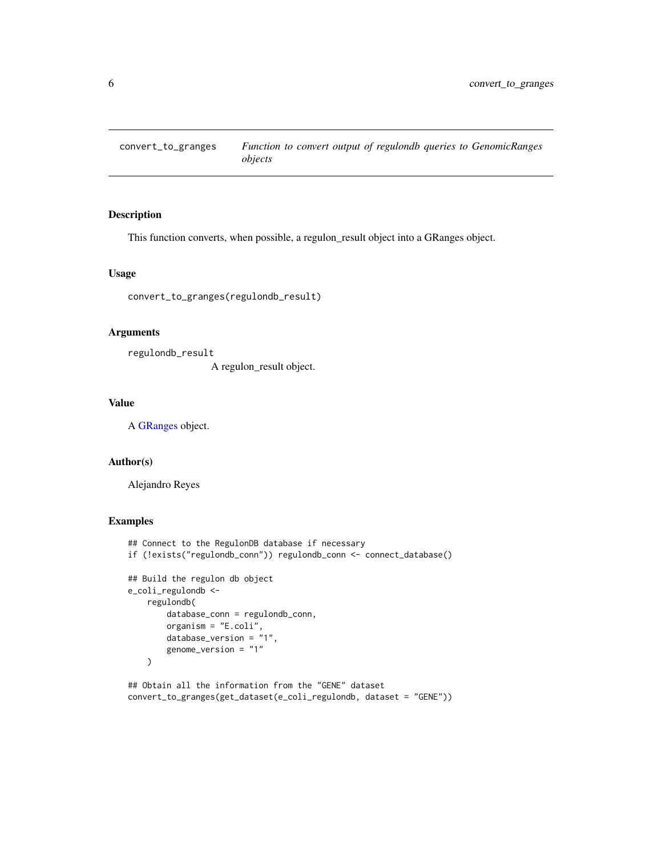<span id="page-5-0"></span>convert\_to\_granges *Function to convert output of regulondb queries to GenomicRanges objects*

# Description

This function converts, when possible, a regulon\_result object into a GRanges object.

#### Usage

convert\_to\_granges(regulondb\_result)

# Arguments

regulondb\_result A regulon\_result object.

#### Value

A [GRanges](#page-0-0) object.

#### Author(s)

Alejandro Reyes

# Examples

```
## Connect to the RegulonDB database if necessary
if (!exists("regulondb_conn")) regulondb_conn <- connect_database()
## Build the regulon db object
e_coli_regulondb <-
    regulondb(
        database_conn = regulondb_conn,
        organism = "E.coli",
        database_version = "1",
        genome_version = "1"
    \lambda
```
## Obtain all the information from the "GENE" dataset convert\_to\_granges(get\_dataset(e\_coli\_regulondb, dataset = "GENE"))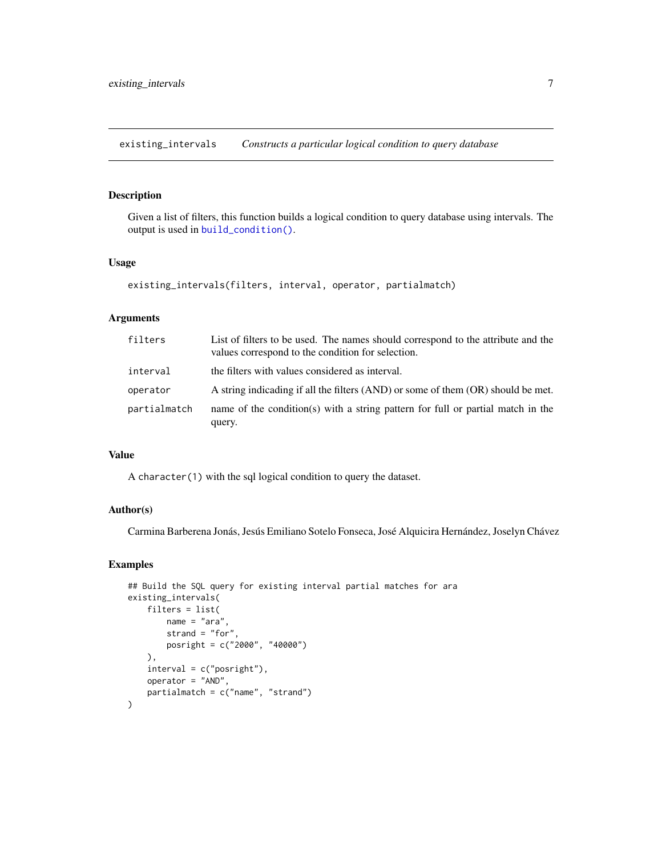<span id="page-6-1"></span><span id="page-6-0"></span>existing\_intervals *Constructs a particular logical condition to query database*

# Description

Given a list of filters, this function builds a logical condition to query database using intervals. The output is used in [build\\_condition\(\)](#page-2-1).

# Usage

```
existing_intervals(filters, interval, operator, partialmatch)
```
# Arguments

| filters      | List of filters to be used. The names should correspond to the attribute and the<br>values correspond to the condition for selection. |
|--------------|---------------------------------------------------------------------------------------------------------------------------------------|
| interval     | the filters with values considered as interval.                                                                                       |
| operator     | A string indicading if all the filters (AND) or some of them (OR) should be met.                                                      |
| partialmatch | name of the condition(s) with a string pattern for full or partial match in the<br>query.                                             |

# Value

A character(1) with the sql logical condition to query the dataset.

# Author(s)

Carmina Barberena Jonás, Jesús Emiliano Sotelo Fonseca, José Alquicira Hernández, Joselyn Chávez

```
## Build the SQL query for existing interval partial matches for ara
existing_intervals(
    filters = list(
       name = "ara",
       strand = "for",
       posright = c("2000", "40000")
   ),
    interval = c("posright"),
   operator = "AND",
    partialmatch = c("name", "strand")
)
```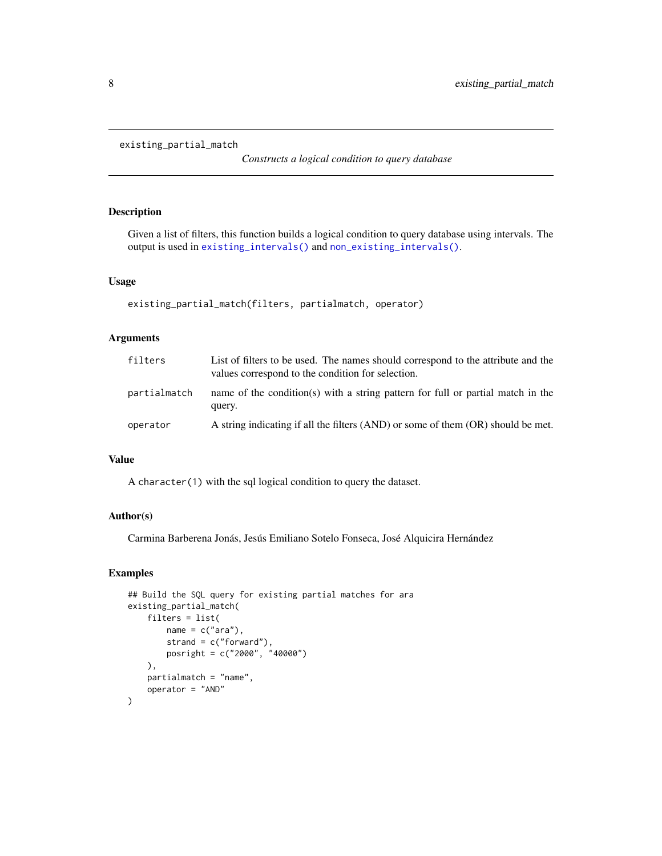```
existing_partial_match
```
*Constructs a logical condition to query database*

# Description

Given a list of filters, this function builds a logical condition to query database using intervals. The output is used in [existing\\_intervals\(\)](#page-6-1) and [non\\_existing\\_intervals\(\)](#page-20-1).

# Usage

```
existing_partial_match(filters, partialmatch, operator)
```
# Arguments

| filters      | List of filters to be used. The names should correspond to the attribute and the<br>values correspond to the condition for selection. |
|--------------|---------------------------------------------------------------------------------------------------------------------------------------|
| partialmatch | name of the condition(s) with a string pattern for full or partial match in the<br>query.                                             |
| operator     | A string indicating if all the filters (AND) or some of them (OR) should be met.                                                      |

# Value

A character(1) with the sql logical condition to query the dataset.

# Author(s)

Carmina Barberena Jonás, Jesús Emiliano Sotelo Fonseca, José Alquicira Hernández

```
## Build the SQL query for existing partial matches for ara
existing_partial_match(
   filters = list(
       name = c("ara"),strand = c("forward"),
       posright = c("2000", "40000")
   ),
   partialmatch = "name",
   operator = "AND"
)
```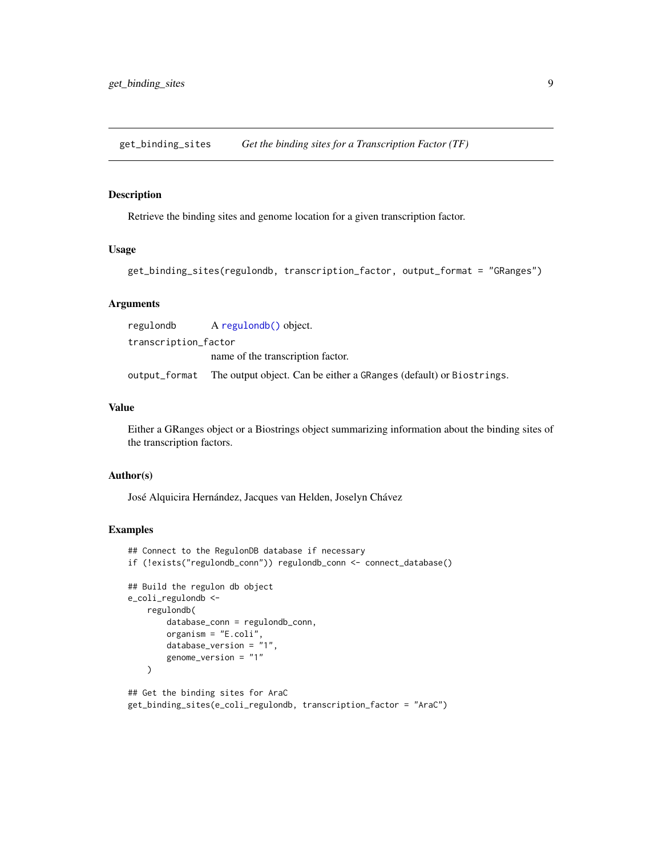<span id="page-8-0"></span>get\_binding\_sites *Get the binding sites for a Transcription Factor (TF)*

# Description

Retrieve the binding sites and genome location for a given transcription factor.

# Usage

```
get_binding_sites(regulondb, transcription_factor, output_format = "GRanges")
```
# Arguments

| regulondb            | A regulondb() object.                                                             |
|----------------------|-----------------------------------------------------------------------------------|
| transcription_factor |                                                                                   |
|                      | name of the transcription factor.                                                 |
|                      | output_format The output object. Can be either a GRanges (default) or Biostrings. |

#### Value

Either a GRanges object or a Biostrings object summarizing information about the binding sites of the transcription factors.

# Author(s)

José Alquicira Hernández, Jacques van Helden, Joselyn Chávez

```
## Connect to the RegulonDB database if necessary
if (!exists("regulondb_conn")) regulondb_conn <- connect_database()
## Build the regulon db object
e_coli_regulondb <-
    regulondb(
        database_conn = regulondb_conn,
       organism = "E.coli",
       database_version = "1",
        genome_version = "1"
   )
## Get the binding sites for AraC
```

```
get_binding_sites(e_coli_regulondb, transcription_factor = "AraC")
```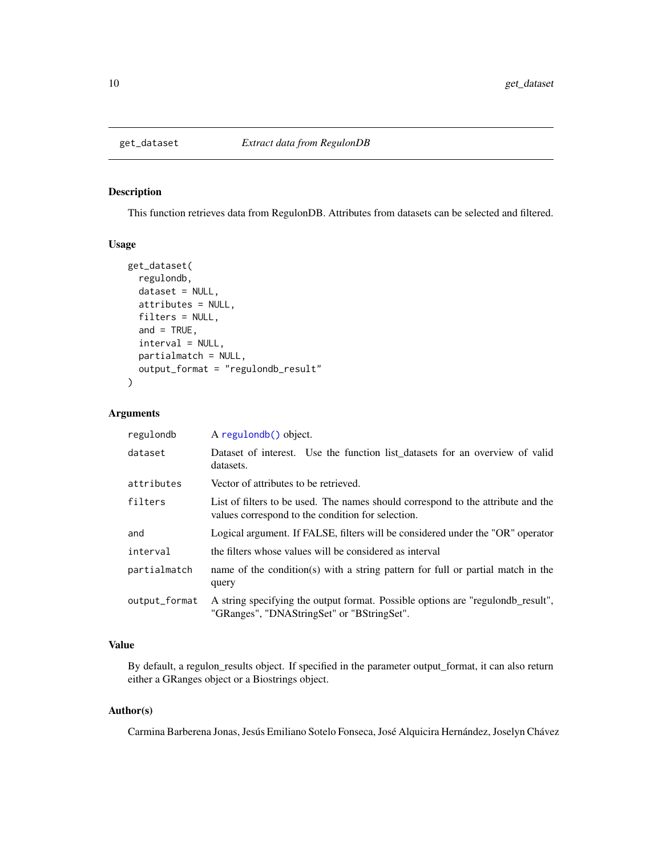<span id="page-9-1"></span><span id="page-9-0"></span>

#### Description

This function retrieves data from RegulonDB. Attributes from datasets can be selected and filtered.

## Usage

```
get_dataset(
  regulondb,
  dataset = NULL,attributes = NULL,
  filters = NULL,
  and = TRUE,
  interval = NULL,
  partialmatch = NULL,
  output_format = "regulondb_result"
\mathcal{E}
```
#### Arguments

| regulondb     | A regulondb() object.                                                                                                                 |
|---------------|---------------------------------------------------------------------------------------------------------------------------------------|
| dataset       | Dataset of interest. Use the function list datasets for an overview of valid<br>datasets.                                             |
| attributes    | Vector of attributes to be retrieved.                                                                                                 |
| filters       | List of filters to be used. The names should correspond to the attribute and the<br>values correspond to the condition for selection. |
| and           | Logical argument. If FALSE, filters will be considered under the "OR" operator                                                        |
| interval      | the filters whose values will be considered as interval                                                                               |
| partialmatch  | name of the condition(s) with a string pattern for full or partial match in the<br>query                                              |
| output_format | A string specifying the output format. Possible options are "regulondb_result",<br>"GRanges", "DNAStringSet" or "BStringSet".         |

# Value

By default, a regulon\_results object. If specified in the parameter output\_format, it can also return either a GRanges object or a Biostrings object.

#### Author(s)

Carmina Barberena Jonas, Jesús Emiliano Sotelo Fonseca, José Alquicira Hernández, Joselyn Chávez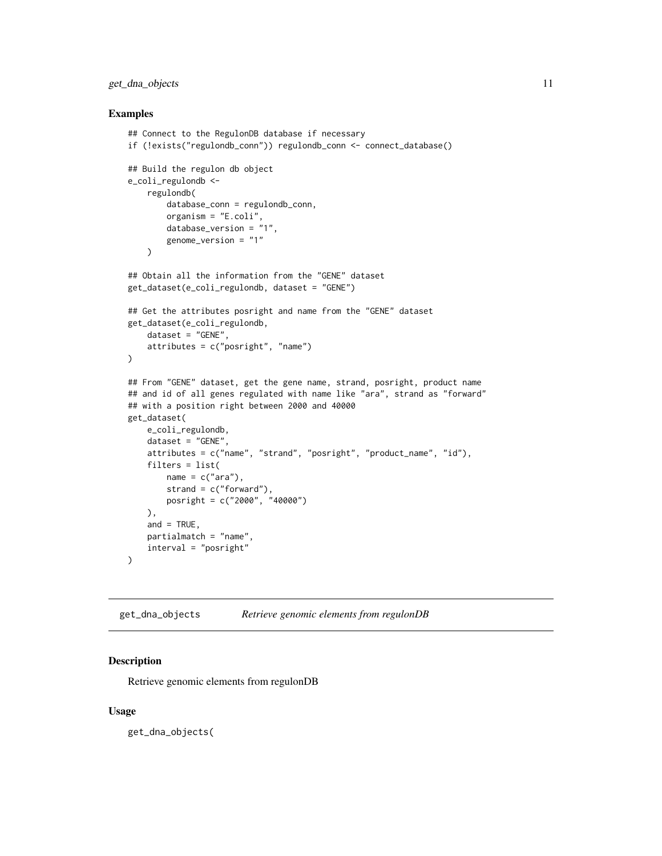# <span id="page-10-0"></span>get\_dna\_objects 11

#### Examples

```
## Connect to the RegulonDB database if necessary
if (!exists("regulondb_conn")) regulondb_conn <- connect_database()
## Build the regulon db object
e_coli_regulondb <-
   regulondb(
       database_conn = regulondb_conn,
        organism = "E.coli",
        database_version = "1",
        genome_version = "1"
   )
## Obtain all the information from the "GENE" dataset
get_dataset(e_coli_regulondb, dataset = "GENE")
## Get the attributes posright and name from the "GENE" dataset
get_dataset(e_coli_regulondb,
   dataset = "GENE",
   attributes = c("posright", "name")
\lambda## From "GENE" dataset, get the gene name, strand, posright, product name
## and id of all genes regulated with name like "ara", strand as "forward"
## with a position right between 2000 and 40000
get_dataset(
   e_coli_regulondb,
   dataset = "GENE",
   attributes = c("name", "strand", "posright", "product_name", "id"),
   filters = list(
       name = c("ara"),
        strand = c("forward"),
       posright = c("2000", "40000")
   ),
   and = TRUE,
   partialmatch = "name",
    interval = "posright"
)
```
get\_dna\_objects *Retrieve genomic elements from regulonDB*

#### Description

Retrieve genomic elements from regulonDB

### Usage

get\_dna\_objects(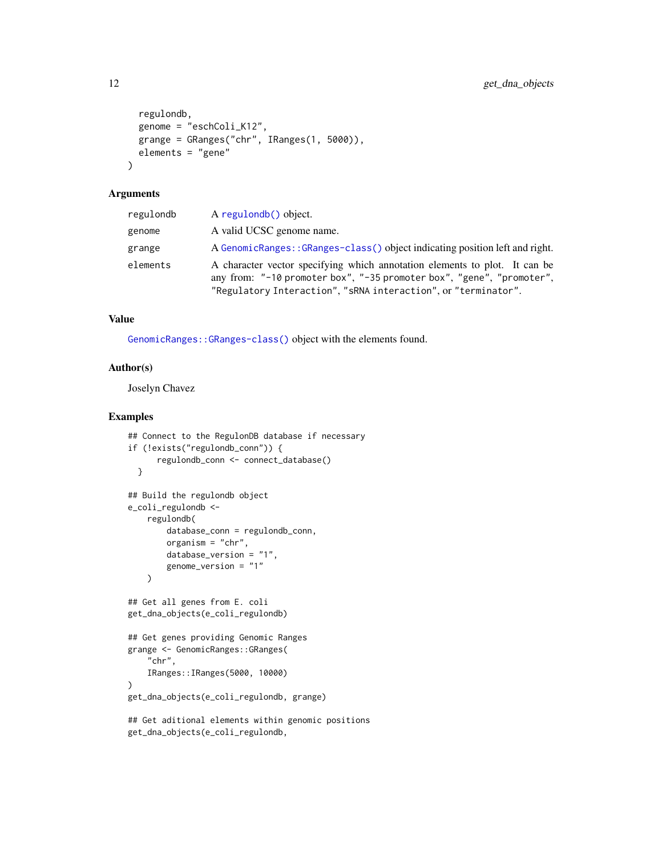```
regulondb,
  genome = "eschColi_K12",
 grange = GRanges("chr", IRanges(1, 5000)),
 elements = "gene"
\lambda
```
#### Arguments

| regulondb | A regulondb() object.                                                                                                                                                                                                 |
|-----------|-----------------------------------------------------------------------------------------------------------------------------------------------------------------------------------------------------------------------|
| genome    | A valid UCSC genome name.                                                                                                                                                                                             |
| grange    | A GenomicRanges::GRanges-class() object indicating position left and right.                                                                                                                                           |
| elements  | A character vector specifying which annotation elements to plot. It can be<br>any from: "-10 promoter box", "-35 promoter box", "gene", "promoter",<br>"Regulatory Interaction", "sRNA interaction", or "terminator". |

#### Value

[GenomicRanges::GRanges-class\(\)](#page-0-0) object with the elements found.

# Author(s)

Joselyn Chavez

```
## Connect to the RegulonDB database if necessary
if (!exists("regulondb_conn")) {
     regulondb_conn <- connect_database()
 }
## Build the regulondb object
e_coli_regulondb <-
    regulondb(
       database_conn = regulondb_conn,
       organism = "chr",
       database_version = "1",
        genome_version = "1"
   \lambda## Get all genes from E. coli
get_dna_objects(e_coli_regulondb)
## Get genes providing Genomic Ranges
grange <- GenomicRanges::GRanges(
    "chr",
   IRanges::IRanges(5000, 10000)
)
get_dna_objects(e_coli_regulondb, grange)
## Get aditional elements within genomic positions
get_dna_objects(e_coli_regulondb,
```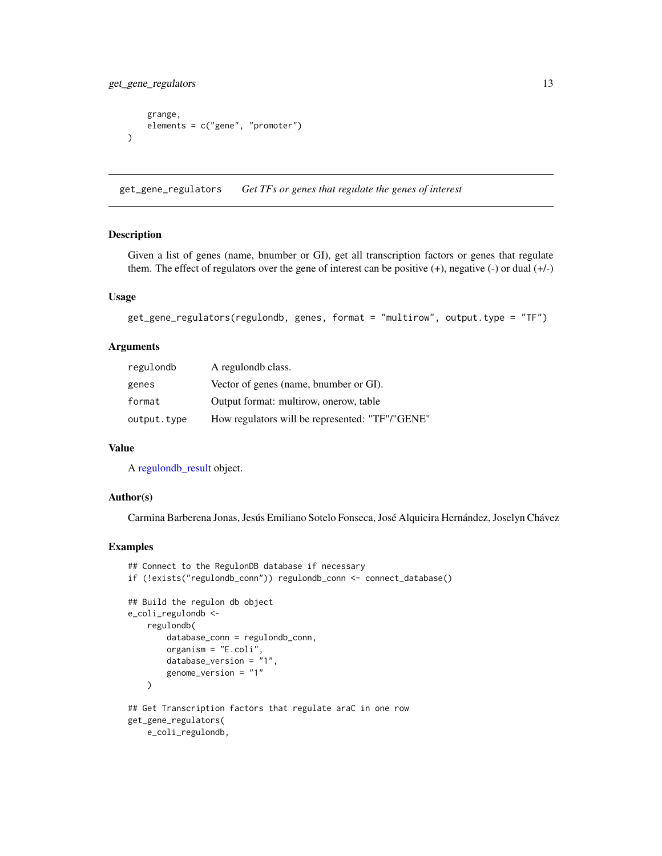<span id="page-12-0"></span>get\_gene\_regulators 13

```
grange,
    elements = c("gene", "promoter")
)
```
<span id="page-12-1"></span>get\_gene\_regulators *Get TFs or genes that regulate the genes of interest*

# Description

Given a list of genes (name, bnumber or GI), get all transcription factors or genes that regulate them. The effect of regulators over the gene of interest can be positive (+), negative (-) or dual (+/-)

# Usage

```
get_gene_regulators(regulondb, genes, format = "multirow", output.type = "TF")
```
#### Arguments

| regulondb   | A regulondb class.                              |
|-------------|-------------------------------------------------|
| genes       | Vector of genes (name, bnumber or GI).          |
| format      | Output format: multirow, onerow, table          |
| output.type | How regulators will be represented: "TF"/"GENE" |

#### Value

A [regulondb\\_result](#page-23-1) object.

#### Author(s)

Carmina Barberena Jonas, Jesús Emiliano Sotelo Fonseca, José Alquicira Hernández, Joselyn Chávez

```
## Connect to the RegulonDB database if necessary
if (!exists("regulondb_conn")) regulondb_conn <- connect_database()
## Build the regulon db object
e_coli_regulondb <-
    regulondb(
       database_conn = regulondb_conn,
       organism = "E.coli",
       database_version = "1",
       genome_version = "1"
   )
## Get Transcription factors that regulate araC in one row
get_gene_regulators(
   e_coli_regulondb,
```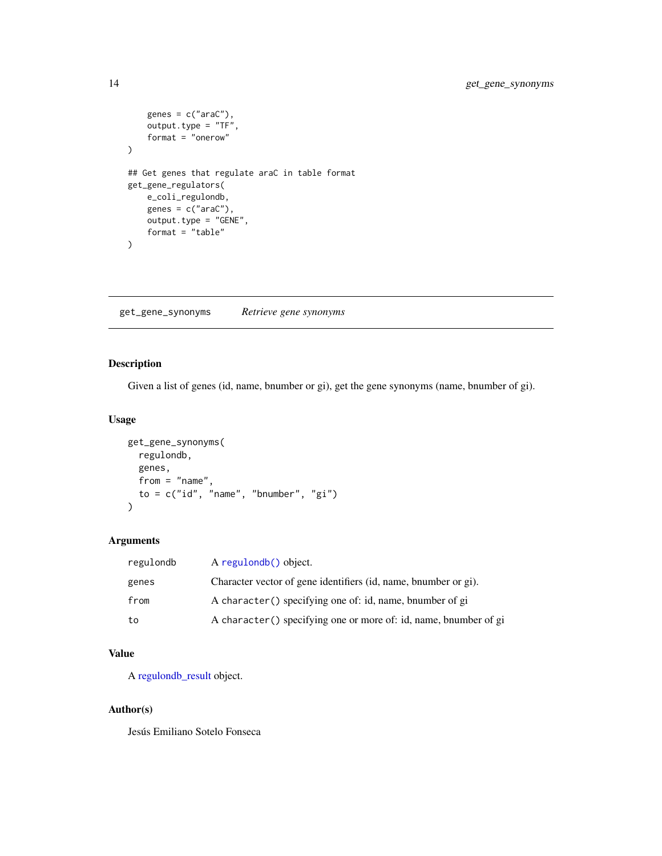```
genes = c("araC"),output.type = "TF",
    format = "onerow"
)
## Get genes that regulate araC in table format
get_gene_regulators(
    e_coli_regulondb,
    genes = c("araC"),output.type = "GENE",
    format = "table"
\mathcal{L}
```
get\_gene\_synonyms *Retrieve gene synonyms*

# Description

Given a list of genes (id, name, bnumber or gi), get the gene synonyms (name, bnumber of gi).

# Usage

```
get_gene_synonyms(
  regulondb,
  genes,
  from = "name",to = c("id", "name", "bnumber", "gi")
\mathcal{L}
```
# Arguments

| regulondb | A regulondb() object.                                             |
|-----------|-------------------------------------------------------------------|
| genes     | Character vector of gene identifiers (id, name, bnumber or gi).   |
| from      | A character () specifying one of: id, name, bnumber of gi         |
| to        | A character () specifying one or more of: id, name, bnumber of gi |

# Value

A [regulondb\\_result](#page-23-1) object.

#### Author(s)

Jesús Emiliano Sotelo Fonseca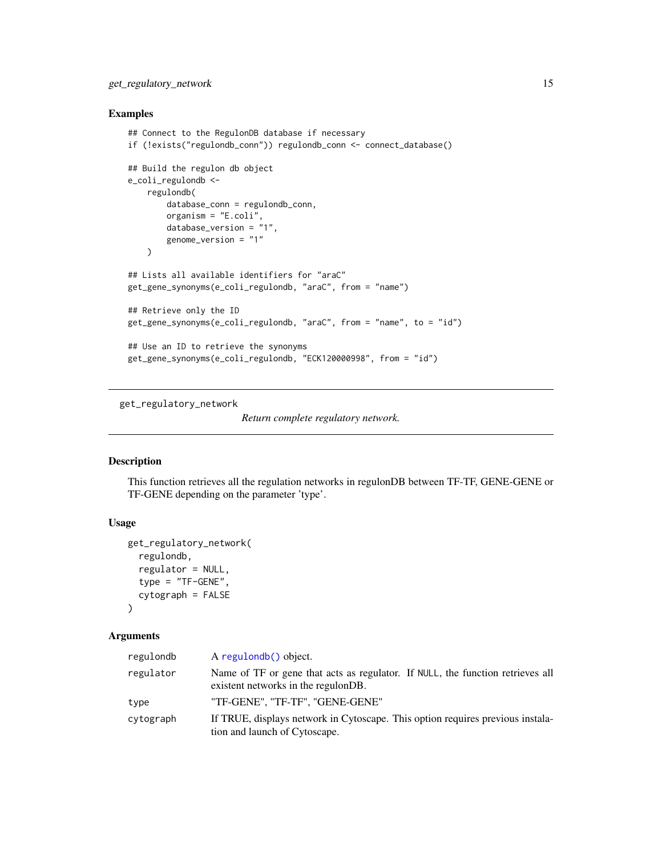# <span id="page-14-0"></span>get\_regulatory\_network 15

# Examples

```
## Connect to the RegulonDB database if necessary
if (!exists("regulondb_conn")) regulondb_conn <- connect_database()
## Build the regulon db object
e_coli_regulondb <-
   regulondb(
        database_conn = regulondb_conn,
        organism = "E.coli",
        database_version = "1",
        genome_version = "1"
   \lambda## Lists all available identifiers for "araC"
get_gene_synonyms(e_coli_regulondb, "araC", from = "name")
## Retrieve only the ID
get_gene_synonyms(e_coli_regulondb, "araC", from = "name", to = "id")
## Use an ID to retrieve the synonyms
get_gene_synonyms(e_coli_regulondb, "ECK120000998", from = "id")
```
get\_regulatory\_network

```
Return complete regulatory network.
```
#### Description

This function retrieves all the regulation networks in regulonDB between TF-TF, GENE-GENE or TF-GENE depending on the parameter 'type'.

# Usage

```
get_regulatory_network(
  regulondb,
  regulator = NULL,
  type = "TF-GENE",
  cytograph = FALSE
\lambda
```
# Arguments

| regulondb | A regulondb() object.                                                                                                 |
|-----------|-----------------------------------------------------------------------------------------------------------------------|
| regulator | Name of TF or gene that acts as regulator. If NULL, the function retrieves all<br>existent networks in the regulonDB. |
| type      | "TF-GENE". "TF-TF". "GENE-GENE"                                                                                       |
| cytograph | If TRUE, displays network in Cytoscape. This option requires previous instala-<br>tion and launch of Cytoscape.       |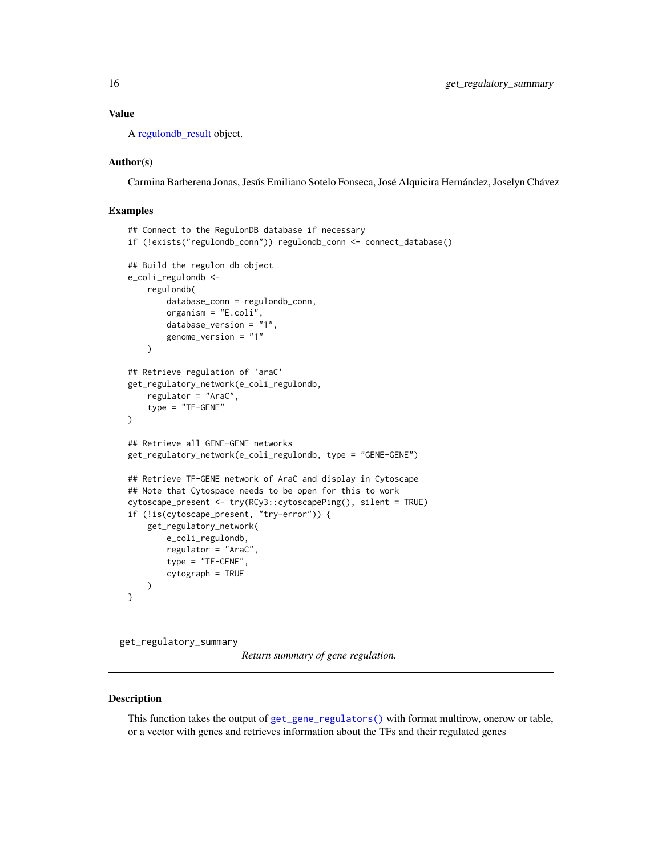#### <span id="page-15-0"></span>Value

A [regulondb\\_result](#page-23-1) object.

#### Author(s)

Carmina Barberena Jonas, Jesús Emiliano Sotelo Fonseca, José Alquicira Hernández, Joselyn Chávez

#### Examples

```
## Connect to the RegulonDB database if necessary
if (!exists("regulondb_conn")) regulondb_conn <- connect_database()
## Build the regulon db object
e_coli_regulondb <-
    regulondb(
        database_conn = regulondb_conn,
        organism = "E.coli",
        database_version = "1",
        genome_version = "1"
   )
## Retrieve regulation of 'araC'
get_regulatory_network(e_coli_regulondb,
    regulator = "AraC",
    type = "TF-GENE"
)
## Retrieve all GENE-GENE networks
get_regulatory_network(e_coli_regulondb, type = "GENE-GENE")
## Retrieve TF-GENE network of AraC and display in Cytoscape
## Note that Cytospace needs to be open for this to work
cytoscape_present <- try(RCy3::cytoscapePing(), silent = TRUE)
if (!is(cytoscape_present, "try-error")) {
   get_regulatory_network(
        e_coli_regulondb,
        regulator = "AraC",
        type = "TF-GENE",
        cytograph = TRUE
   )
}
```
get\_regulatory\_summary

*Return summary of gene regulation.*

## Description

This function takes the output of [get\\_gene\\_regulators\(\)](#page-12-1) with format multirow, onerow or table, or a vector with genes and retrieves information about the TFs and their regulated genes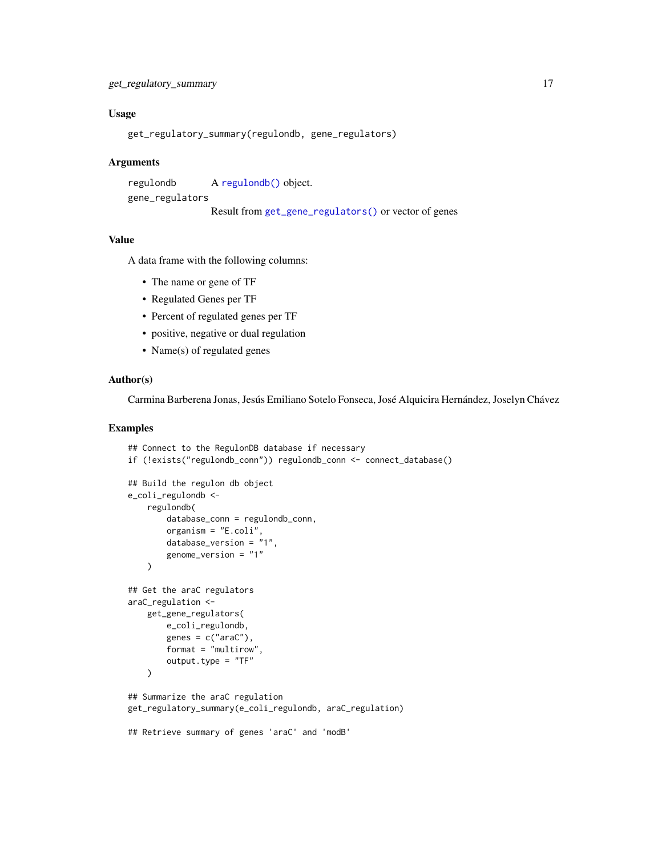# <span id="page-16-0"></span>Usage

```
get_regulatory_summary(regulondb, gene_regulators)
```
#### Arguments

```
regulondb A regulondb() object.
gene_regulators
                Result from get_gene_regulators() or vector of genes
```
# Value

A data frame with the following columns:

- The name or gene of TF
- Regulated Genes per TF
- Percent of regulated genes per TF
- positive, negative or dual regulation
- Name(s) of regulated genes

# Author(s)

Carmina Barberena Jonas, Jesús Emiliano Sotelo Fonseca, José Alquicira Hernández, Joselyn Chávez

```
## Connect to the RegulonDB database if necessary
if (!exists("regulondb_conn")) regulondb_conn <- connect_database()
## Build the regulon db object
e_coli_regulondb <-
   regulondb(
        database_conn = regulondb_conn,
        organism = "E.coli",
       database_version = "1",
        genome_version = "1"
   )
## Get the araC regulators
araC_regulation <-
   get_gene_regulators(
       e_coli_regulondb,
       genes = c("araC"),format = "multirow",
        output.type = "TF"
   )
## Summarize the araC regulation
get_regulatory_summary(e_coli_regulondb, araC_regulation)
## Retrieve summary of genes 'araC' and 'modB'
```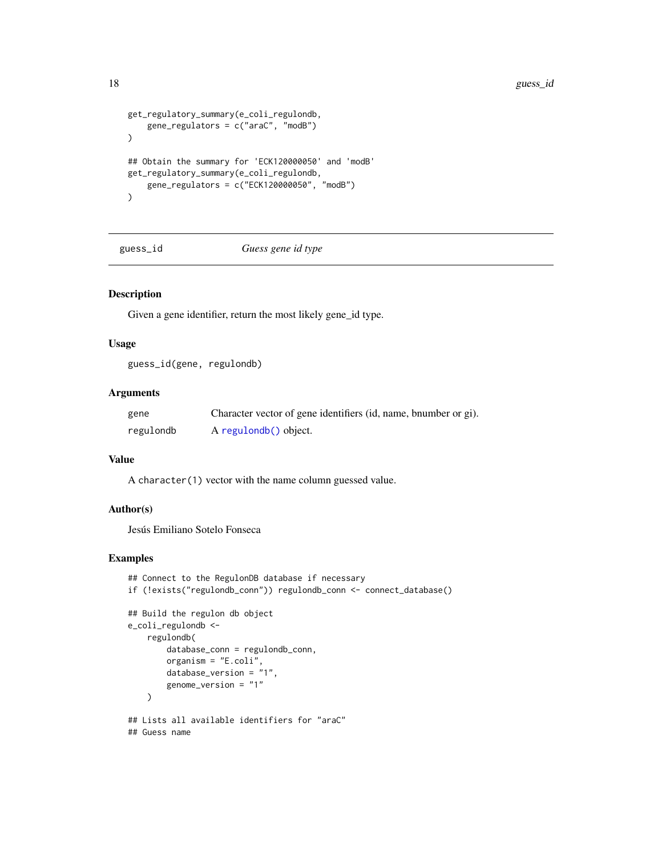```
get_regulatory_summary(e_coli_regulondb,
    gene_regulators = c("araC", "modB")
)
## Obtain the summary for 'ECK120000050' and 'modB'
get_regulatory_summary(e_coli_regulondb,
    gene_regulators = c("ECK120000050", "modB")
\mathcal{L}
```
guess\_id *Guess gene id type*

#### Description

Given a gene identifier, return the most likely gene\_id type.

#### Usage

guess\_id(gene, regulondb)

#### Arguments

| gene      | Character vector of gene identifiers (id, name, bnumber or gi). |
|-----------|-----------------------------------------------------------------|
| regulondb | A regulondb() object.                                           |

# Value

A character(1) vector with the name column guessed value.

# Author(s)

Jesús Emiliano Sotelo Fonseca

```
## Connect to the RegulonDB database if necessary
if (!exists("regulondb_conn")) regulondb_conn <- connect_database()
## Build the regulon db object
e_coli_regulondb <-
   regulondb(
       database_conn = regulondb_conn,
       organism = "E.coli",
        database_version = "1",
        genome_version = "1"
   \lambda## Lists all available identifiers for "araC"
## Guess name
```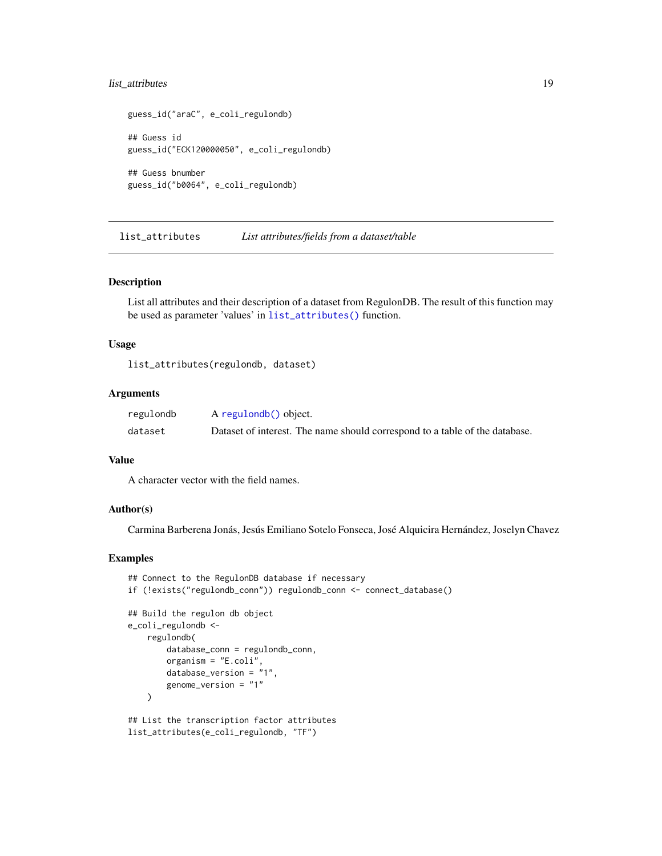# <span id="page-18-0"></span>list\_attributes 19

```
guess_id("araC", e_coli_regulondb)
## Guess id
guess_id("ECK120000050", e_coli_regulondb)
## Guess bnumber
guess_id("b0064", e_coli_regulondb)
```
<span id="page-18-1"></span>list\_attributes *List attributes/fields from a dataset/table*

#### Description

List all attributes and their description of a dataset from RegulonDB. The result of this function may be used as parameter 'values' in [list\\_attributes\(\)](#page-18-1) function.

#### Usage

list\_attributes(regulondb, dataset)

#### Arguments

| regulondb | A regulondb() object.                                                       |
|-----------|-----------------------------------------------------------------------------|
| dataset   | Dataset of interest. The name should correspond to a table of the database. |

#### Value

A character vector with the field names.

#### Author(s)

Carmina Barberena Jonás, Jesús Emiliano Sotelo Fonseca, José Alquicira Hernández, Joselyn Chavez

```
## Connect to the RegulonDB database if necessary
if (!exists("regulondb_conn")) regulondb_conn <- connect_database()
## Build the regulon db object
e_coli_regulondb <-
   regulondb(
       database_conn = regulondb_conn,
       organism = "E.coli",
        database_version = "1",
        genome_version = "1"
   \lambda## List the transcription factor attributes
list_attributes(e_coli_regulondb, "TF")
```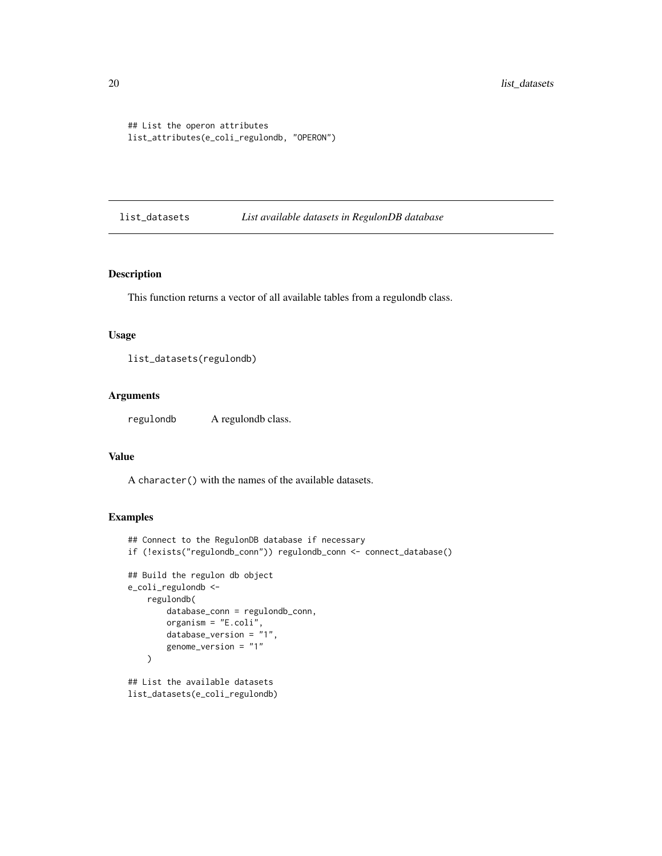```
## List the operon attributes
list_attributes(e_coli_regulondb, "OPERON")
```
list\_datasets *List available datasets in RegulonDB database*

#### Description

This function returns a vector of all available tables from a regulondb class.

# Usage

list\_datasets(regulondb)

#### Arguments

regulondb A regulondb class.

#### Value

A character() with the names of the available datasets.

```
## Connect to the RegulonDB database if necessary
if (!exists("regulondb_conn")) regulondb_conn <- connect_database()
## Build the regulon db object
e_coli_regulondb <-
    regulondb(
       database_conn = regulondb_conn,
       organism = "E.coli",
       database_version = "1",
       genome_version = "1"
    )
## List the available datasets
list_datasets(e_coli_regulondb)
```
<span id="page-19-0"></span>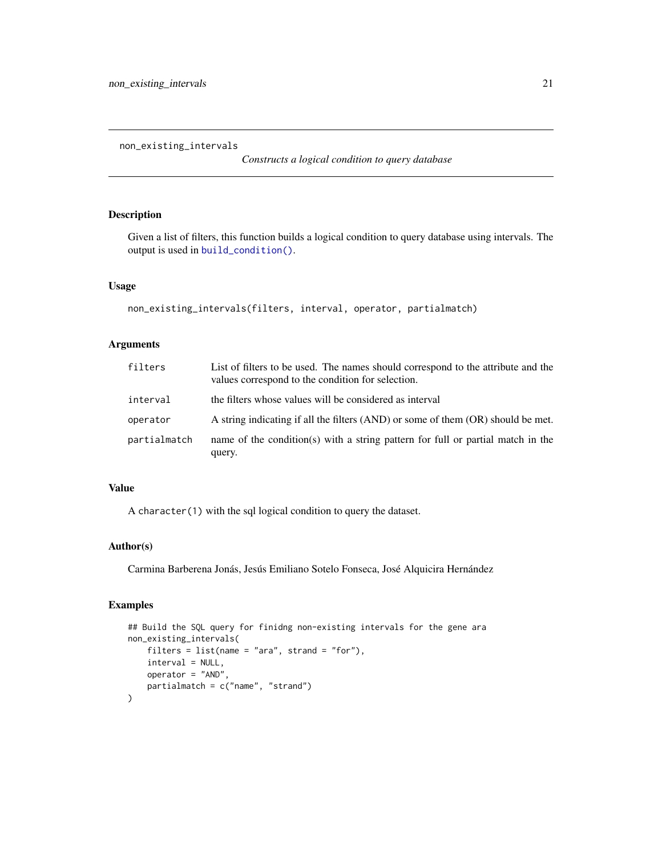<span id="page-20-1"></span><span id="page-20-0"></span>non\_existing\_intervals

*Constructs a logical condition to query database*

# Description

Given a list of filters, this function builds a logical condition to query database using intervals. The output is used in [build\\_condition\(\)](#page-2-1).

# Usage

```
non_existing_intervals(filters, interval, operator, partialmatch)
```
# Arguments

| filters      | List of filters to be used. The names should correspond to the attribute and the<br>values correspond to the condition for selection. |
|--------------|---------------------------------------------------------------------------------------------------------------------------------------|
| interval     | the filters whose values will be considered as interval                                                                               |
| operator     | A string indicating if all the filters (AND) or some of them (OR) should be met.                                                      |
| partialmatch | name of the condition(s) with a string pattern for full or partial match in the<br>query.                                             |

# Value

A character(1) with the sql logical condition to query the dataset.

# Author(s)

Carmina Barberena Jonás, Jesús Emiliano Sotelo Fonseca, José Alquicira Hernández

```
## Build the SQL query for finidng non-existing intervals for the gene ara
non_existing_intervals(
    filters = list(name = "ara", strand = "for"),
   interval = NULL,
   operator = "AND",
   partialmatch = c("name", "strand")
)
```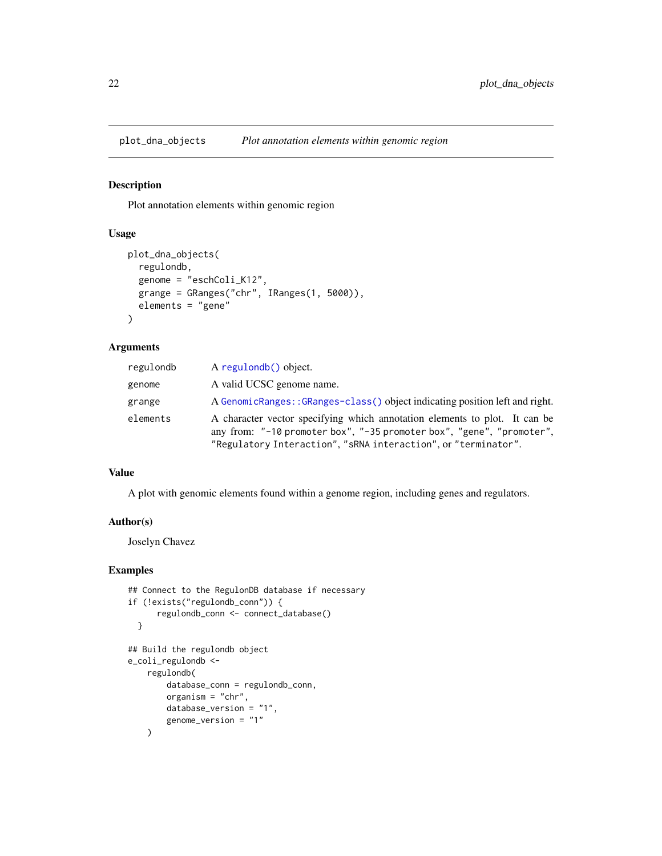<span id="page-21-0"></span>plot\_dna\_objects *Plot annotation elements within genomic region*

# Description

Plot annotation elements within genomic region

#### Usage

```
plot_dna_objects(
  regulondb,
  genome = "eschColi_K12",
  grange = GRanges("chr", IRanges(1, 5000)),
 elements = "gene"
)
```
#### Arguments

| regulondb | A regulondb() object.                                                                                                                                                                                                 |
|-----------|-----------------------------------------------------------------------------------------------------------------------------------------------------------------------------------------------------------------------|
| genome    | A valid UCSC genome name.                                                                                                                                                                                             |
| grange    | A GenomicRanges::GRanges-class() object indicating position left and right.                                                                                                                                           |
| elements  | A character vector specifying which annotation elements to plot. It can be<br>any from: "-10 promoter box", "-35 promoter box", "gene", "promoter",<br>"Regulatory Interaction", "sRNA interaction", or "terminator". |

#### Value

A plot with genomic elements found within a genome region, including genes and regulators.

#### Author(s)

Joselyn Chavez

```
## Connect to the RegulonDB database if necessary
if (!exists("regulondb_conn")) {
      regulondb_conn <- connect_database()
 }
## Build the regulondb object
e_coli_regulondb <-
    regulondb(
        database_conn = regulondb_conn,
        organism = "chr",
        database_version = "1",
        genome_version = "1"
    \mathcal{L}
```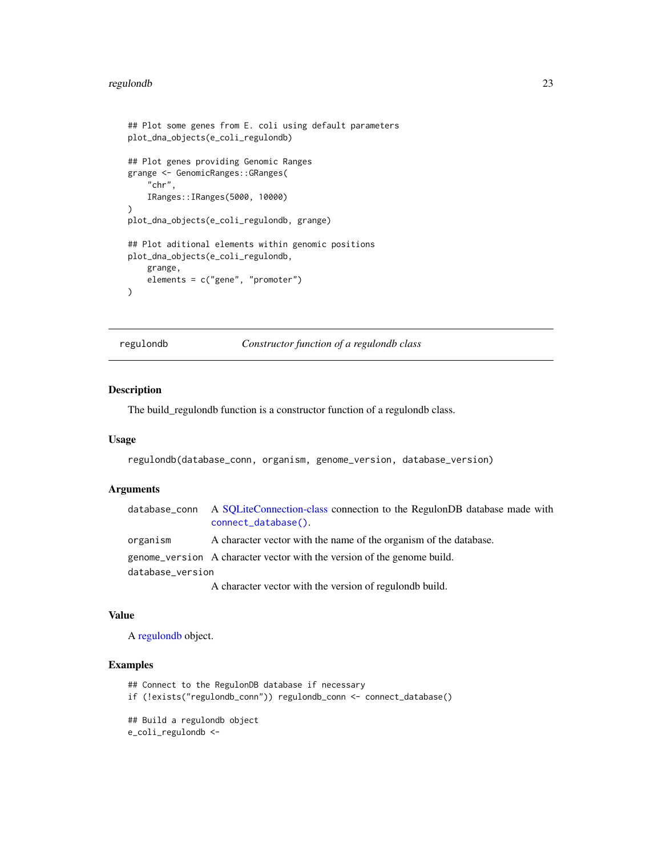#### <span id="page-22-0"></span>regulondb 23

```
## Plot some genes from E. coli using default parameters
plot_dna_objects(e_coli_regulondb)
## Plot genes providing Genomic Ranges
grange <- GenomicRanges::GRanges(
    "chr",
    IRanges::IRanges(5000, 10000)
\lambdaplot_dna_objects(e_coli_regulondb, grange)
## Plot aditional elements within genomic positions
plot_dna_objects(e_coli_regulondb,
    grange,
   elements = c("gene", "promoter")
)
```
<span id="page-22-1"></span>regulondb *Constructor function of a regulondb class*

#### Description

The build\_regulondb function is a constructor function of a regulondb class.

#### Usage

```
regulondb(database_conn, organism, genome_version, database_version)
```
#### Arguments

|                  | database_conn A SQLiteConnection-class connection to the RegulonDB database made with<br>connect_database(). |
|------------------|--------------------------------------------------------------------------------------------------------------|
| organism         | A character vector with the name of the organism of the database.                                            |
|                  | genome_version A character vector with the version of the genome build.                                      |
| database_version |                                                                                                              |
|                  | A character vector with the version of regulondb build.                                                      |

#### Value

A [regulondb](#page-22-1) object.

```
## Connect to the RegulonDB database if necessary
if (!exists("regulondb_conn")) regulondb_conn <- connect_database()
## Build a regulondb object
e_coli_regulondb <-
```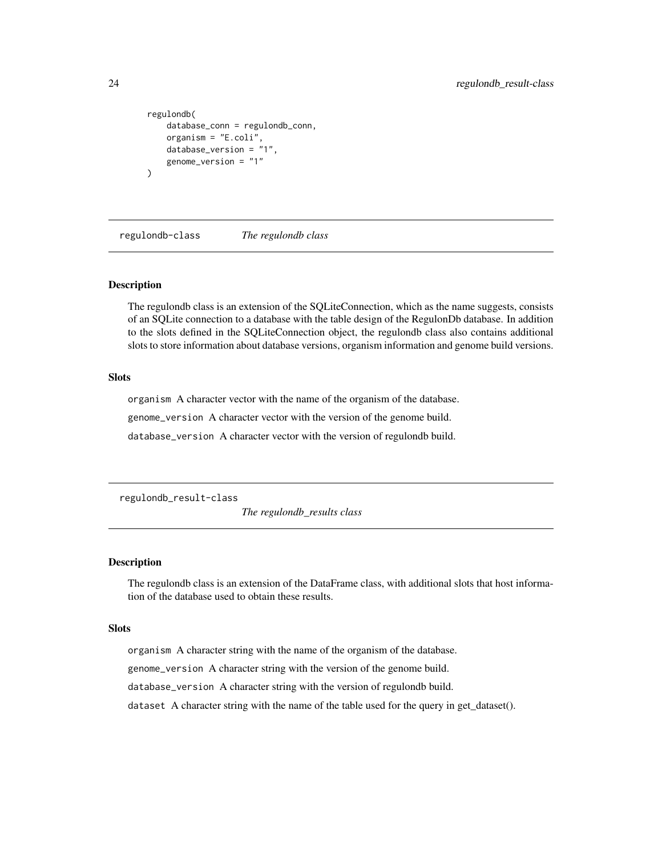```
regulondb(
    database_conn = regulondb_conn,
    organism = "E.coli",
    database_version = "1",
    genome_version = "1"
\mathcal{L}
```
regulondb-class *The regulondb class*

#### **Description**

The regulondb class is an extension of the SQLiteConnection, which as the name suggests, consists of an SQLite connection to a database with the table design of the RegulonDb database. In addition to the slots defined in the SQLiteConnection object, the regulondb class also contains additional slots to store information about database versions, organism information and genome build versions.

# **Slots**

organism A character vector with the name of the organism of the database.

genome\_version A character vector with the version of the genome build.

database\_version A character vector with the version of regulondb build.

<span id="page-23-1"></span>regulondb\_result-class

*The regulondb\_results class*

#### Description

The regulondb class is an extension of the DataFrame class, with additional slots that host information of the database used to obtain these results.

#### **Slots**

organism A character string with the name of the organism of the database.

genome\_version A character string with the version of the genome build.

database\_version A character string with the version of regulondb build.

dataset A character string with the name of the table used for the query in get\_dataset().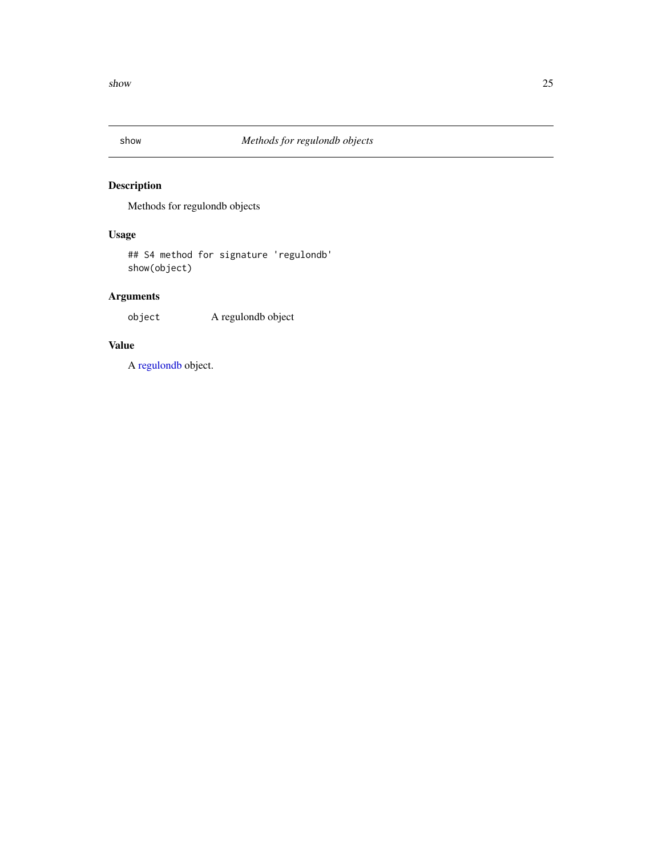<span id="page-24-0"></span>

# Description

Methods for regulondb objects

# Usage

## S4 method for signature 'regulondb' show(object)

# Arguments

object A regulondb object

# Value

A [regulondb](#page-22-1) object.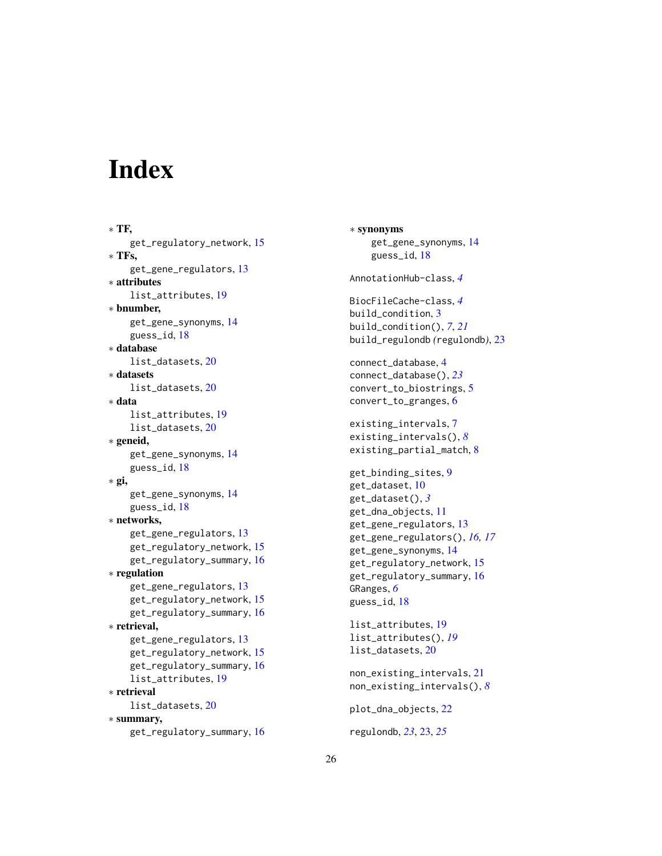# <span id="page-25-0"></span>**Index**

∗ TF, get\_regulatory\_network, [15](#page-14-0) ∗ TFs, get\_gene\_regulators, [13](#page-12-0) ∗ attributes list\_attributes, [19](#page-18-0) ∗ bnumber, get\_gene\_synonyms, [14](#page-13-0) guess\_id, [18](#page-17-0) ∗ database list\_datasets, [20](#page-19-0) ∗ datasets list\_datasets, [20](#page-19-0) ∗ data list\_attributes, [19](#page-18-0) list\_datasets, [20](#page-19-0) ∗ geneid, get\_gene\_synonyms, [14](#page-13-0) guess\_id, [18](#page-17-0) ∗ gi, get\_gene\_synonyms, [14](#page-13-0) guess\_id, [18](#page-17-0) ∗ networks, get\_gene\_regulators, [13](#page-12-0) get\_regulatory\_network, [15](#page-14-0) get\_regulatory\_summary, [16](#page-15-0) ∗ regulation get\_gene\_regulators, [13](#page-12-0) get\_regulatory\_network, [15](#page-14-0) get\_regulatory\_summary, [16](#page-15-0) ∗ retrieval, get\_gene\_regulators, [13](#page-12-0) get\_regulatory\_network, [15](#page-14-0) get\_regulatory\_summary, [16](#page-15-0) list\_attributes, [19](#page-18-0) ∗ retrieval list\_datasets, [20](#page-19-0) ∗ summary, get\_regulatory\_summary, [16](#page-15-0)

∗ synonyms get\_gene\_synonyms, [14](#page-13-0) guess\_id, [18](#page-17-0) AnnotationHub-class, *[4](#page-3-0)* BiocFileCache-class, *[4](#page-3-0)* build\_condition, [3](#page-2-0) build\_condition(), *[7](#page-6-0)*, *[21](#page-20-0)* build\_regulondb *(*regulondb*)*, [23](#page-22-0) connect\_database, [4](#page-3-0) connect\_database(), *[23](#page-22-0)* convert\_to\_biostrings, [5](#page-4-0) convert\_to\_granges, [6](#page-5-0) existing\_intervals, [7](#page-6-0) existing\_intervals(), *[8](#page-7-0)* existing\_partial\_match, [8](#page-7-0) get\_binding\_sites, [9](#page-8-0) get\_dataset, [10](#page-9-0) get\_dataset(), *[3](#page-2-0)* get\_dna\_objects, [11](#page-10-0) get\_gene\_regulators, [13](#page-12-0) get\_gene\_regulators(), *[16,](#page-15-0) [17](#page-16-0)* get\_gene\_synonyms, [14](#page-13-0) get\_regulatory\_network, [15](#page-14-0) get\_regulatory\_summary, [16](#page-15-0) GRanges, *[6](#page-5-0)* guess\_id, [18](#page-17-0) list\_attributes, [19](#page-18-0) list\_attributes(), *[19](#page-18-0)* list\_datasets, [20](#page-19-0) non\_existing\_intervals, [21](#page-20-0) non\_existing\_intervals(), *[8](#page-7-0)* plot\_dna\_objects, [22](#page-21-0) regulondb, *[23](#page-22-0)*, [23,](#page-22-0) *[25](#page-24-0)*